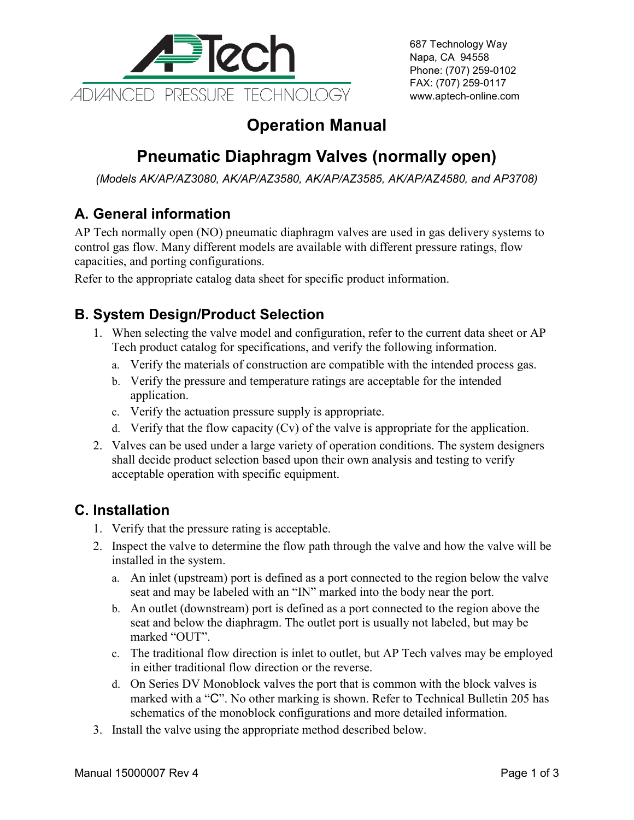

687 Technology Way Napa, CA 94558 Phone: (707) 259-0102 FAX: (707) 259-0117 www.aptech-online.com

## **Operation Manual**

# **Pneumatic Diaphragm Valves (normally open)**

*(Models AK/AP/AZ3080, AK/AP/AZ3580, AK/AP/AZ3585, AK/AP/AZ4580, and AP3708)*

### **A. General information**

AP Tech normally open (NO) pneumatic diaphragm valves are used in gas delivery systems to control gas flow. Many different models are available with different pressure ratings, flow capacities, and porting configurations.

Refer to the appropriate catalog data sheet for specific product information.

#### **B. System Design/Product Selection**

- 1. When selecting the valve model and configuration, refer to the current data sheet or AP Tech product catalog for specifications, and verify the following information.
	- a. Verify the materials of construction are compatible with the intended process gas.
	- b. Verify the pressure and temperature ratings are acceptable for the intended application.
	- c. Verify the actuation pressure supply is appropriate.
	- d. Verify that the flow capacity (Cv) of the valve is appropriate for the application.
- 2. Valves can be used under a large variety of operation conditions. The system designers shall decide product selection based upon their own analysis and testing to verify acceptable operation with specific equipment.

#### **C. Installation**

- 1. Verify that the pressure rating is acceptable.
- 2. Inspect the valve to determine the flow path through the valve and how the valve will be installed in the system.
	- a. An inlet (upstream) port is defined as a port connected to the region below the valve seat and may be labeled with an "IN" marked into the body near the port.
	- b. An outlet (downstream) port is defined as a port connected to the region above the seat and below the diaphragm. The outlet port is usually not labeled, but may be marked "OUT".
	- c. The traditional flow direction is inlet to outlet, but AP Tech valves may be employed in either traditional flow direction or the reverse.
	- d. On Series DV Monoblock valves the port that is common with the block valves is marked with a "C". No other marking is shown. Refer to Technical Bulletin 205 has schematics of the monoblock configurations and more detailed information.
- 3. Install the valve using the appropriate method described below.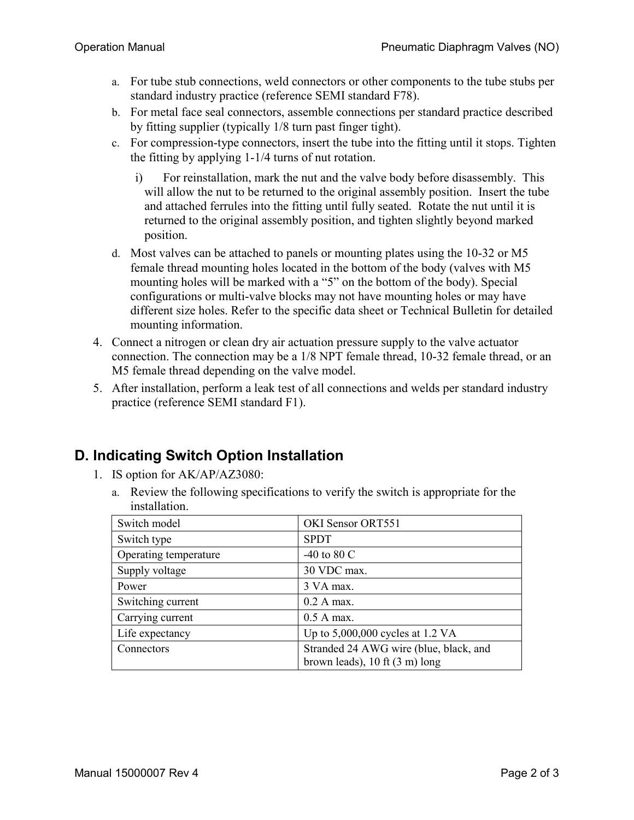- a. For tube stub connections, weld connectors or other components to the tube stubs per standard industry practice (reference SEMI standard F78).
- b. For metal face seal connectors, assemble connections per standard practice described by fitting supplier (typically 1/8 turn past finger tight).
- c. For compression-type connectors, insert the tube into the fitting until it stops. Tighten the fitting by applying 1-1/4 turns of nut rotation.
	- i) For reinstallation, mark the nut and the valve body before disassembly. This will allow the nut to be returned to the original assembly position. Insert the tube and attached ferrules into the fitting until fully seated. Rotate the nut until it is returned to the original assembly position, and tighten slightly beyond marked position.
- d. Most valves can be attached to panels or mounting plates using the 10-32 or M5 female thread mounting holes located in the bottom of the body (valves with M5 mounting holes will be marked with a "5" on the bottom of the body). Special configurations or multi-valve blocks may not have mounting holes or may have different size holes. Refer to the specific data sheet or Technical Bulletin for detailed mounting information.
- 4. Connect a nitrogen or clean dry air actuation pressure supply to the valve actuator connection. The connection may be a 1/8 NPT female thread, 10-32 female thread, or an M5 female thread depending on the valve model.
- 5. After installation, perform a leak test of all connections and welds per standard industry practice (reference SEMI standard F1).

#### **D. Indicating Switch Option Installation**

- 1. IS option for AK/AP/AZ3080:
	- a. Review the following specifications to verify the switch is appropriate for the installation.

| Switch model          | OKI Sensor ORT551                                                                          |
|-----------------------|--------------------------------------------------------------------------------------------|
| Switch type           | <b>SPDT</b>                                                                                |
| Operating temperature | -40 to 80 $\mathrm{C}$                                                                     |
| Supply voltage        | 30 VDC max.                                                                                |
| Power                 | 3 VA max.                                                                                  |
| Switching current     | 0.2 A max.                                                                                 |
| Carrying current      | $0.5$ A max.                                                                               |
| Life expectancy       | Up to $5,000,000$ cycles at 1.2 VA                                                         |
| Connectors            | Stranded 24 AWG wire (blue, black, and<br>brown leads), $10 \text{ ft} (3 \text{ m})$ long |